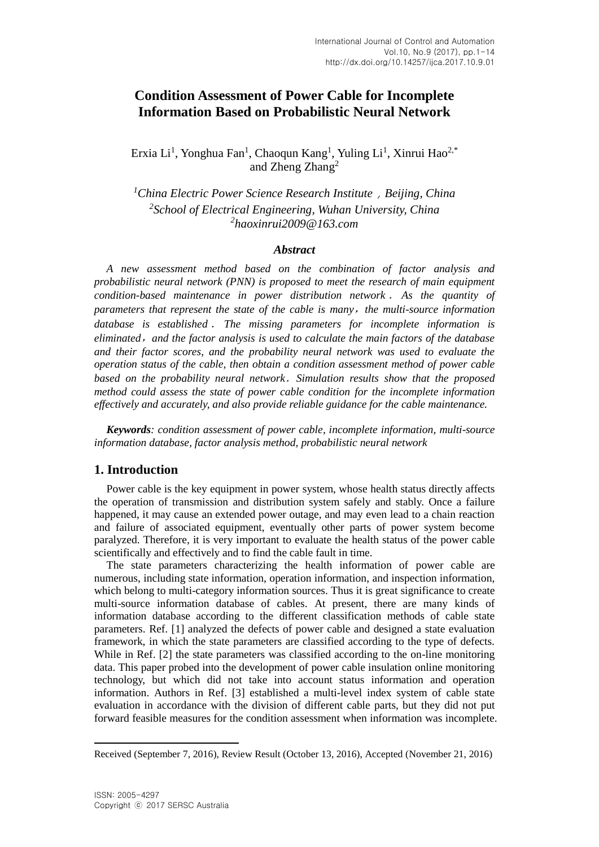# **Condition Assessment of Power Cable for Incomplete Information Based on Probabilistic Neural Network**

Erxia Li<sup>1</sup>, Yonghua Fan<sup>1</sup>, Chaoqun Kang<sup>1</sup>, Yuling Li<sup>1</sup>, Xinrui Hao<sup>2,\*</sup> and Zheng Zhang<sup>2</sup>

*<sup>1</sup>China Electric Power Science Research Institute*,*Beijing, China 2 School of Electrical Engineering, Wuhan University, China 2 haoxinrui2009@163.com*

## *Abstract*

*A new assessment method based on the combination of factor analysis and probabilistic neural network (PNN) is proposed to meet the research of main equipment condition-based maintenance in power distribution network* . *As the quantity of parameters that represent the state of the cable is many*,*the multi-source information database is established* . *The missing parameters for incomplete information is eliminated*,*and the factor analysis is used to calculate the main factors of the database and their factor scores, and the probability neural network was used to evaluate the operation status of the cable, then obtain a condition assessment method of power cable based on the probability neural network*.*Simulation results show that the proposed method could assess the state of power cable condition for the incomplete information effectively and accurately, and also provide reliable guidance for the cable maintenance.*

*Keywords: condition assessment of power cable, incomplete information, multi-source information database, factor analysis method, probabilistic neural network*

## **1. Introduction**

Power cable is the key equipment in power system, whose health status directly affects the operation of transmission and distribution system safely and stably. Once a failure happened, it may cause an extended power outage, and may even lead to a chain reaction and failure of associated equipment, eventually other parts of power system become paralyzed. Therefore, it is very important to evaluate the health status of the power cable scientifically and effectively and to find the cable fault in time.

The state parameters characterizing the health information of power cable are numerous, including state information, operation information, and inspection information, which belong to multi-category information sources. Thus it is great significance to create multi-source information database of cables. At present, there are many kinds of information database according to the different classification methods of cable state parameters. Ref. [1] analyzed the defects of power cable and designed a state evaluation framework, in which the state parameters are classified according to the type of defects. While in Ref. [2] the state parameters was classified according to the on-line monitoring data. This paper probed into the development of power cable insulation online monitoring technology, but which did not take into account status information and operation information. Authors in Ref. [3] established a multi-level index system of cable state evaluation in accordance with the division of different cable parts, but they did not put forward feasible measures for the condition assessment when information was incomplete.

 $\ddot{\phantom{a}}$ 

Received (September 7, 2016), Review Result (October 13, 2016), Accepted (November 21, 2016)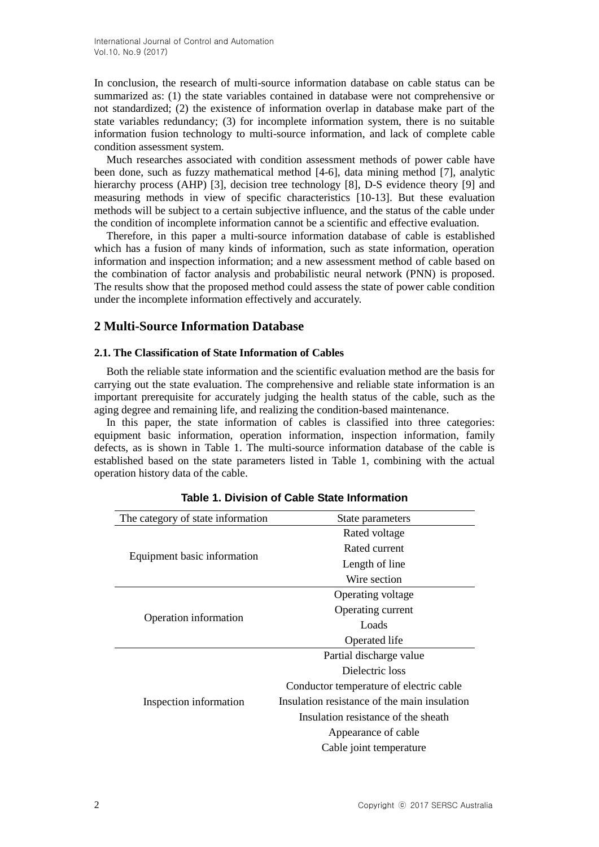In conclusion, the research of multi-source information database on cable status can be summarized as: (1) the state variables contained in database were not comprehensive or not standardized; (2) the existence of information overlap in database make part of the state variables redundancy; (3) for incomplete information system, there is no suitable information fusion technology to multi-source information, and lack of complete cable condition assessment system.

Much researches associated with condition assessment methods of power cable have been done, such as fuzzy mathematical method [4-6], data mining method [7], analytic hierarchy process (AHP) [3], decision tree technology [8], D-S evidence theory [9] and measuring methods in view of specific characteristics [10-13]. But these evaluation methods will be subject to a certain subjective influence, and the status of the cable under the condition of incomplete information cannot be a scientific and effective evaluation.

Therefore, in this paper a multi-source information database of cable is established which has a fusion of many kinds of information, such as state information, operation information and inspection information; and a new assessment method of cable based on the combination of factor analysis and probabilistic neural network (PNN) is proposed. The results show that the proposed method could assess the state of power cable condition under the incomplete information effectively and accurately.

# **2 Multi-Source Information Database**

## **2.1. The Classification of State Information of Cables**

Both the reliable state information and the scientific evaluation method are the basis for carrying out the state evaluation. The comprehensive and reliable state information is an important prerequisite for accurately judging the health status of the cable, such as the aging degree and remaining life, and realizing the condition-based maintenance.

In this paper, the state information of cables is classified into three categories: equipment basic information, operation information, inspection information, family defects, as is shown in Table 1. The multi-source information database of the cable is established based on the state parameters listed in Table 1, combining with the actual operation history data of the cable.

| The category of state information | State parameters                             |  |  |
|-----------------------------------|----------------------------------------------|--|--|
|                                   | Rated voltage                                |  |  |
| Equipment basic information       | Rated current                                |  |  |
|                                   | Length of line                               |  |  |
|                                   | Wire section                                 |  |  |
| Operation information             | Operating voltage                            |  |  |
|                                   | Operating current                            |  |  |
|                                   | Loads                                        |  |  |
|                                   | Operated life                                |  |  |
|                                   | Partial discharge value                      |  |  |
|                                   | Dielectric loss                              |  |  |
|                                   | Conductor temperature of electric cable      |  |  |
| Inspection information            | Insulation resistance of the main insulation |  |  |
|                                   | Insulation resistance of the sheath          |  |  |
|                                   | Appearance of cable                          |  |  |
|                                   | Cable joint temperature                      |  |  |

## **Table 1. Division of Cable State Information**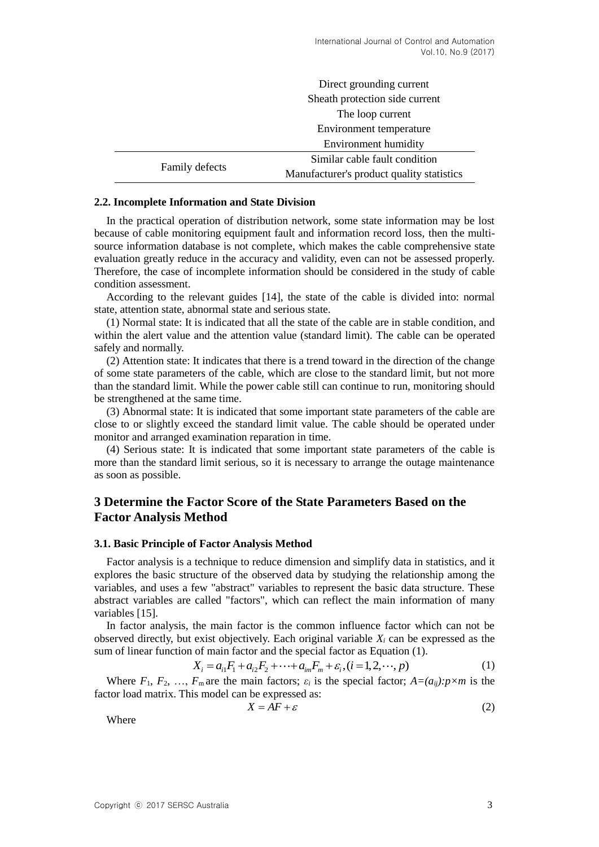|                | Direct grounding current<br>Sheath protection side current<br>The loop current<br>Environment temperature |  |  |
|----------------|-----------------------------------------------------------------------------------------------------------|--|--|
|                |                                                                                                           |  |  |
|                |                                                                                                           |  |  |
|                |                                                                                                           |  |  |
|                | Environment humidity                                                                                      |  |  |
|                | Similar cable fault condition                                                                             |  |  |
| Family defects | Manufacturer's product quality statistics                                                                 |  |  |

#### **2.2. Incomplete Information and State Division**

In the practical operation of distribution network, some state information may be lost because of cable monitoring equipment fault and information record loss, then the multisource information database is not complete, which makes the cable comprehensive state evaluation greatly reduce in the accuracy and validity, even can not be assessed properly. Therefore, the case of incomplete information should be considered in the study of cable condition assessment.

According to the relevant guides [14], the state of the cable is divided into: normal state, attention state, abnormal state and serious state.

(1) Normal state: It is indicated that all the state of the cable are in stable condition, and within the alert value and the attention value (standard limit). The cable can be operated safely and normally.

(2) Attention state: It indicates that there is a trend toward in the direction of the change of some state parameters of the cable, which are close to the standard limit, but not more than the standard limit. While the power cable still can continue to run, monitoring should be strengthened at the same time.

(3) Abnormal state: It is indicated that some important state parameters of the cable are close to or slightly exceed the standard limit value. The cable should be operated under monitor and arranged examination reparation in time.

(4) Serious state: It is indicated that some important state parameters of the cable is more than the standard limit serious, so it is necessary to arrange the outage maintenance as soon as possible.

# **3 Determine the Factor Score of the State Parameters Based on the Factor Analysis Method**

#### **3.1. Basic Principle of Factor Analysis Method**

Factor analysis is a technique to reduce dimension and simplify data in statistics, and it explores the basic structure of the observed data by studying the relationship among the variables, and uses a few "abstract" variables to represent the basic data structure. These abstract variables are called "factors", which can reflect the main information of many variables [15].

In factor analysis, the main factor is the common influence factor which can not be observed directly, but exist objectively. Each original variable *X<sup>i</sup>* can be expressed as the sum of linear function of main factor and the special factor as Equation (1).

$$
X_i = a_{i1}F_1 + a_{i2}F_2 + \dots + a_{im}F_m + \varepsilon_i, (i = 1, 2, \dots, p)
$$
 (1)

Where  $F_1, F_2, \ldots, F_m$  are the main factors;  $\varepsilon_i$  is the special factor;  $A=(a_{ij})$ :  $p \times m$  is the factor load matrix. This model can be expressed as:

$$
X = AF + \varepsilon \tag{2}
$$

Where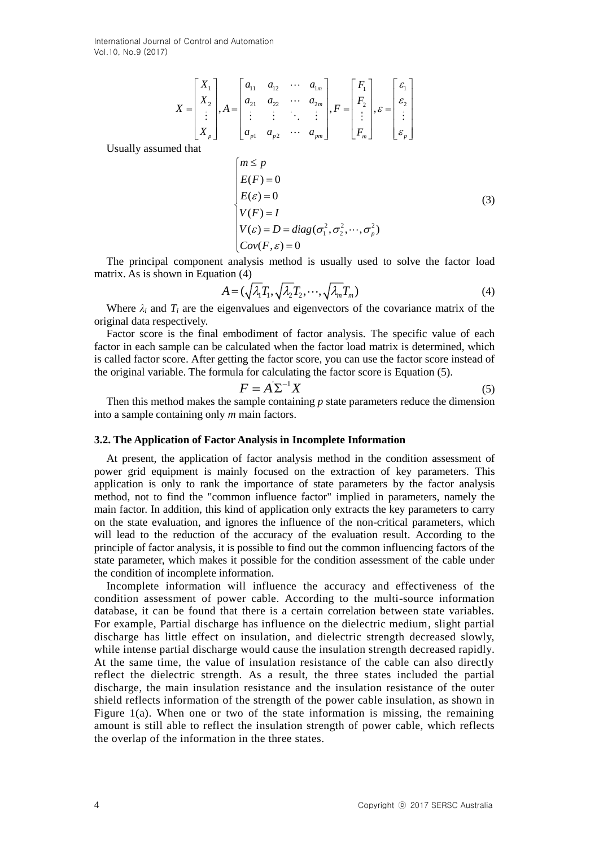International Journal of Control and Automation Vol.10, No.9 (2017)

$$
X = \begin{bmatrix} X_1 \\ X_2 \\ \vdots \\ X_p \end{bmatrix}, A = \begin{bmatrix} a_{11} & a_{12} & \cdots & a_{1m} \\ a_{21} & a_{22} & \cdots & a_{2m} \\ \vdots & \vdots & \ddots & \vdots \\ a_{p1} & a_{p2} & \cdots & a_{pm} \end{bmatrix}, F = \begin{bmatrix} F_1 \\ F_2 \\ \vdots \\ F_m \end{bmatrix}, \varepsilon = \begin{bmatrix} \varepsilon_1 \\ \varepsilon_2 \\ \vdots \\ \varepsilon_p \end{bmatrix}
$$

Usually assumed that

$$
\begin{cases}\nm \le p \\
E(F) = 0 \\
E(\varepsilon) = 0\n\end{cases}
$$
\n
$$
\begin{cases}\nV(F) = I \\
V(\varepsilon) = D = diag(\sigma_1^2, \sigma_2^2, \cdots, \sigma_p^2) \\
Cov(F, \varepsilon) = 0\n\end{cases}
$$
\n(3)

The principal component analysis method is usually used to solve the factor load matrix. As is shown in Equation (4)

$$
A = (\sqrt{\lambda_1} T_1, \sqrt{\lambda_2} T_2, \cdots, \sqrt{\lambda_m} T_m)
$$
\n(4)

Where  $\lambda_i$  and  $T_i$  are the eigenvalues and eigenvectors of the covariance matrix of the original data respectively.

Factor score is the final embodiment of factor analysis. The specific value of each factor in each sample can be calculated when the factor load matrix is determined, which is called factor score. After getting the factor score, you can use the factor score instead of the original variable. The formula for calculating the factor score is Equation (5).

$$
F = A \Sigma^{-1} X \tag{5}
$$

Then this method makes the sample containing *p* state parameters reduce the dimension into a sample containing only *m* main factors.

#### **3.2. The Application of Factor Analysis in Incomplete Information**

At present, the application of factor analysis method in the condition assessment of power grid equipment is mainly focused on the extraction of key parameters. This application is only to rank the importance of state parameters by the factor analysis method, not to find the "common influence factor" implied in parameters, namely the main factor. In addition, this kind of application only extracts the key parameters to carry on the state evaluation, and ignores the influence of the non-critical parameters, which will lead to the reduction of the accuracy of the evaluation result. According to the principle of factor analysis, it is possible to find out the common influencing factors of the state parameter, which makes it possible for the condition assessment of the cable under the condition of incomplete information.

Incomplete information will influence the accuracy and effectiveness of the condition assessment of power cable. According to the multi-source information database, it can be found that there is a certain correlation between state variables. For example, Partial discharge has influence on the dielectric medium, slight partial discharge has little effect on insulation, and dielectric strength decreased slowly, while intense partial discharge would cause the insulation strength decreased rapidly. At the same time, the value of insulation resistance of the cable can also directly reflect the dielectric strength. As a result, the three states included the partial discharge, the main insulation resistance and the insulation resistance of the outer shield reflects information of the strength of the power cable insulation, as shown in Figure 1(a). When one or two of the state information is missing, the remaining amount is still able to reflect the insulation strength of power cable, which reflects the overlap of the information in the three states.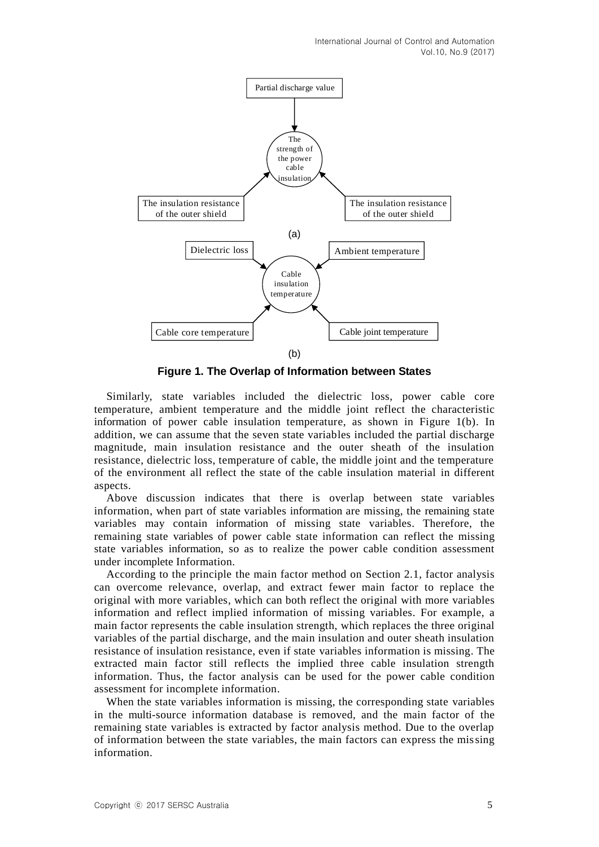International Journal of Control and Automation Vol.10, No.9 (2017)



**Figure 1. The Overlap of Information between States**

Similarly, state variables included the dielectric loss, power cable core temperature, ambient temperature and the middle joint reflect the characteristic information of power cable insulation temperature, as shown in Figure 1(b). In addition, we can assume that the seven state variables included the partial discharge magnitude, main insulation resistance and the outer sheath of the insulation resistance, dielectric loss, temperature of cable, the middle joint and the temperature of the environment all reflect the state of the cable insulation material in different aspects.

Above discussion indicates that there is overlap between state variables information, when part of state variables information are missing, the remaining state variables may contain information of missing state variables. Therefore, the remaining state variables of power cable state information can reflect the missing state variables information, so as to realize the power cable condition assessment under incomplete Information.

According to the principle the main factor method on Section 2.1, factor analysis can overcome relevance, overlap, and extract fewer main factor to replace the original with more variables, which can both reflect the original with more variables information and reflect implied information of missing variables. For example, a main factor represents the cable insulation strength, which replaces the three original variables of the partial discharge, and the main insulation and outer sheath insulation resistance of insulation resistance, even if state variables information is missing. The extracted main factor still reflects the implied three cable insulation strength information. Thus, the factor analysis can be used for the power cable condition assessment for incomplete information.

When the state variables information is missing, the corresponding state variables in the multi-source information database is removed, and the main factor of the remaining state variables is extracted by factor analysis method. Due to the overlap of information between the state variables, the main factors can express the missing information.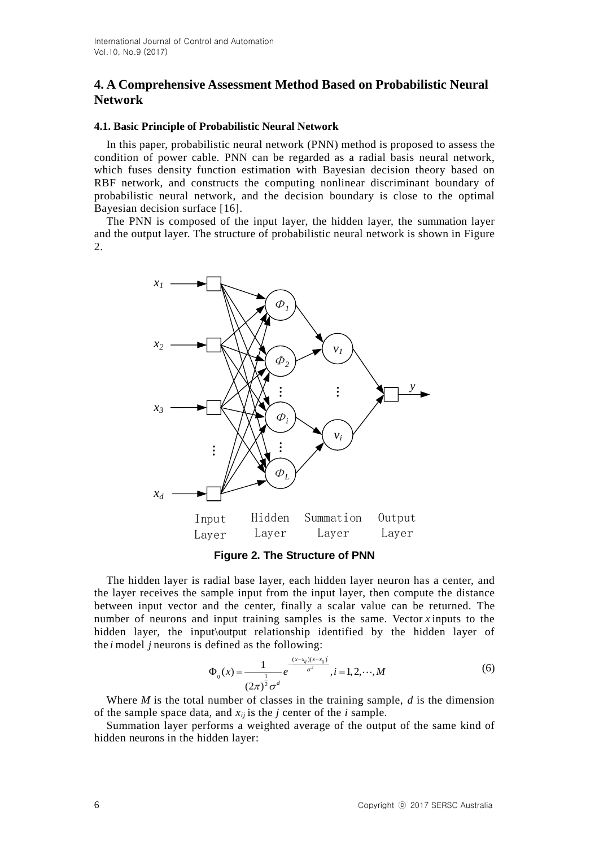# **4. A Comprehensive Assessment Method Based on Probabilistic Neural Network**

### **4.1. Basic Principle of Probabilistic Neural Network**

In this paper, probabilistic neural network (PNN) method is proposed to assess the condition of power cable. PNN can be regarded as a radial basis neural network, which fuses density function estimation with Bayesian decision theory based on RBF network, and constructs the computing nonlinear discriminant boundary of probabilistic neural network, and the decision boundary is close to the optimal Bayesian decision surface [16].

The PNN is composed of the input layer, the hidden layer, the summation layer and the output layer. The structure of probabilistic neural network is shown in Figure 2.



**Figure 2. The Structure of PNN**

The hidden layer is radial base layer, each hidden layer neuron has a center, and the layer receives the sample input from the input layer, then compute the distance between input vector and the center, finally a scalar value can be returned. The number of neurons and input training samples is the same. Vector *x* inputs to the hidden layer, the input\output relationship identified by the hidden layer of the *i* model *j* neurons is defined as the following:<br> $\frac{(x-x_{ij})(x-x_{ij})}{2}$ 

$$
\Phi_{ij}(x) = \frac{1}{(2\pi)^{\frac{1}{2}}\sigma^d} e^{-\frac{(x-x_{ij})(x-x_{ij})^2}{\sigma^2}}, i = 1, 2, \cdots, M
$$
\n(6)

Where *M* is the total number of classes in the training sample, *d* is the dimension of the sample space data, and *xij* is the *j* center of the *i* sample.

Summation layer performs a weighted average of the output of the same kind of hidden neurons in the hidden layer: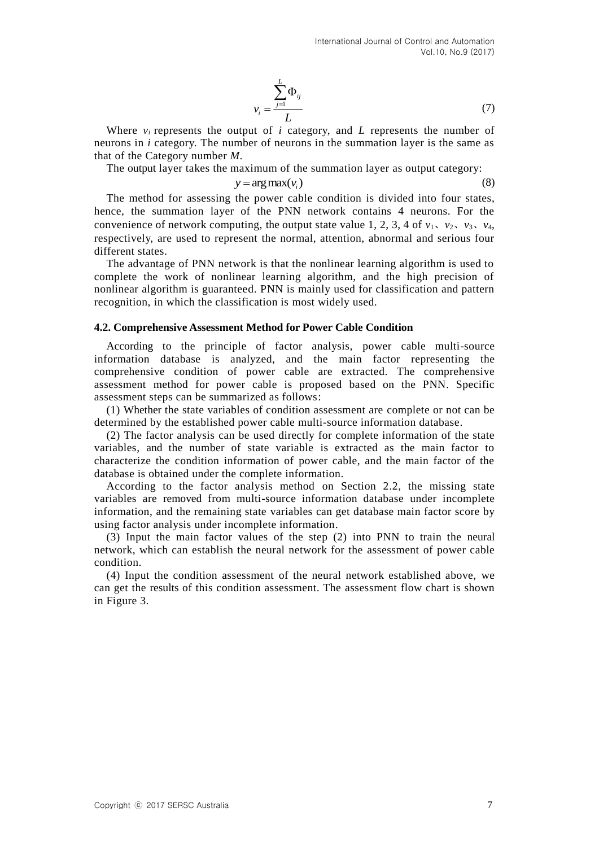$$
v_i = \frac{\sum_{j=1}^{L} \Phi_{ij}}{L} \tag{7}
$$

Where  $v_i$  represents the output of  $i$  category, and  $L$  represents the number of neurons in *i* category. The number of neurons in the summation layer is the same as that of the Category number *M*.

The output layer takes the maximum of the summation layer as output category:

 $y = \arg \max(v_i)$  (8)

The method for assessing the power cable condition is divided into four states, hence, the summation layer of the PNN network contains 4 neurons. For the convenience of network computing, the output state value 1, 2, 3, 4 of  $v_1$ ,  $v_2$ ,  $v_3$ ,  $v_4$ , respectively, are used to represent the normal, attention, abnormal and serious four different states.

The advantage of PNN network is that the nonlinear learning algorithm is used to complete the work of nonlinear learning algorithm, and the high precision of nonlinear algorithm is guaranteed. PNN is mainly used for classification and pattern recognition, in which the classification is most widely used.

#### **4.2. Comprehensive Assessment Method for Power Cable Condition**

According to the principle of factor analysis, power cable multi-source information database is analyzed, and the main factor representing the comprehensive condition of power cable are extracted. The comprehensive assessment method for power cable is proposed based on the PNN. Specific assessment steps can be summarized as follows:

(1) Whether the state variables of condition assessment are complete or not can be determined by the established power cable multi-source information database.

(2) The factor analysis can be used directly for complete information of the state variables, and the number of state variable is extracted as the main factor to characterize the condition information of power cable, and the main factor of the database is obtained under the complete information.

According to the factor analysis method on Section 2.2, the missing state variables are removed from multi-source information database under incomplete information, and the remaining state variables can get database main factor score by using factor analysis under incomplete information.

(3) Input the main factor values of the step (2) into PNN to train the neural network, which can establish the neural network for the assessment of power cable condition.

(4) Input the condition assessment of the neural network established above, we can get the results of this condition assessment. The assessment flow chart is shown in Figure 3.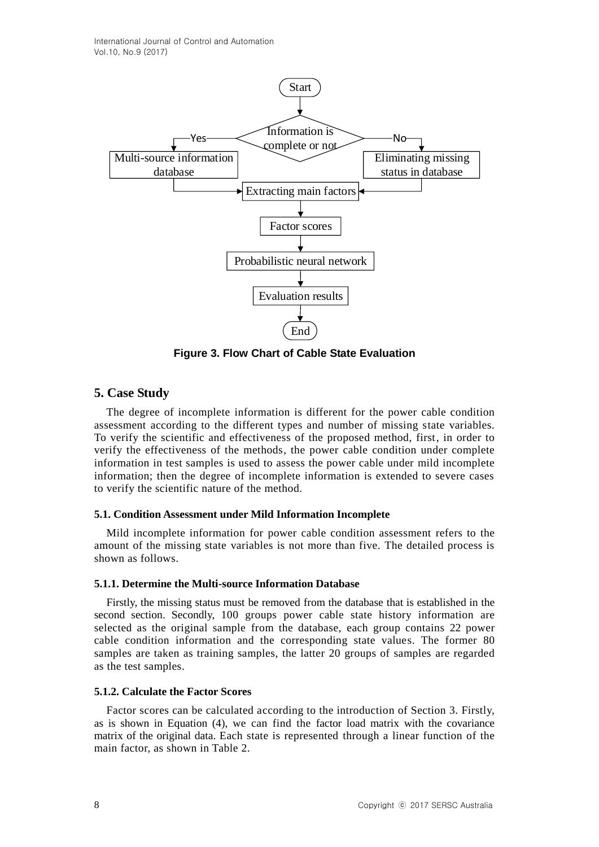

**Figure 3. Flow Chart of Cable State Evaluation**

# **5. Case Study**

The degree of incomplete information is different for the power cable condition assessment according to the different types and number of missing state variables. To verify the scientific and effectiveness of the proposed method, first, in order to verify the effectiveness of the methods, the power cable condition under complete information in test samples is used to assess the power cable under mild incomplete information; then the degree of incomplete information is extended to severe cases to verify the scientific nature of the method.

## **5.1. Condition Assessment under Mild Information Incomplete**

Mild incomplete information for power cable condition assessment refers to the amount of the missing state variables is not more than five. The detailed process is shown as follows.

### **5.1.1. Determine the Multi-source Information Database**

Firstly, the missing status must be removed from the database that is established in the second section. Secondly, 100 groups power cable state history information are selected as the original sample from the database, each group contains 22 power cable condition information and the corresponding state values. The former 80 samples are taken as training samples, the latter 20 groups of samples are regarded as the test samples.

### **5.1.2. Calculate the Factor Scores**

Factor scores can be calculated according to the introduction of Section 3. Firstly, as is shown in Equation (4), we can find the factor load matrix with the covariance matrix of the original data. Each state is represented through a linear function of the main factor, as shown in Table 2.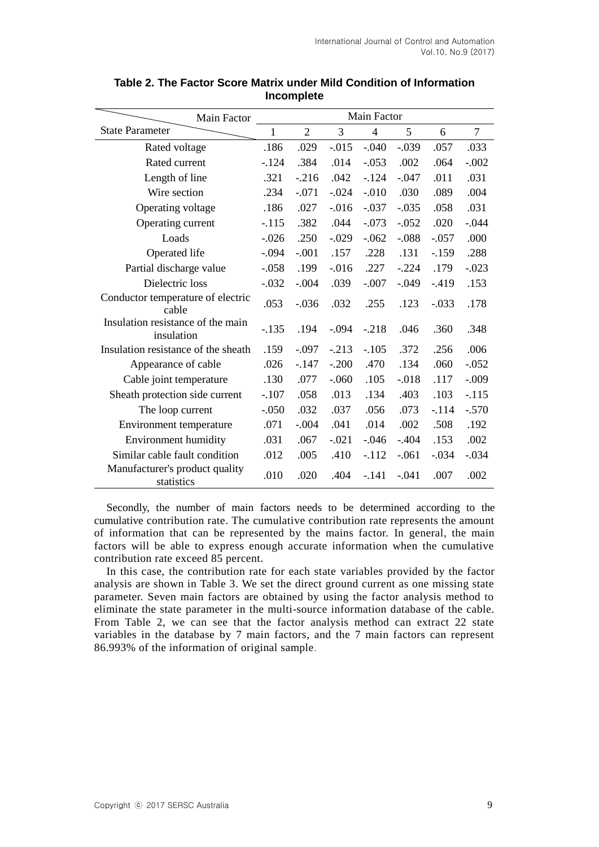| Main Factor                                     | Main Factor |                |          |                |          |         |                |
|-------------------------------------------------|-------------|----------------|----------|----------------|----------|---------|----------------|
| <b>State Parameter</b>                          | 1           | $\overline{2}$ | 3        | $\overline{4}$ | 5        | 6       | $\overline{7}$ |
| Rated voltage                                   | .186        | .029           | $-0.015$ | $-.040$        | $-.039$  | .057    | .033           |
| Rated current                                   | $-124$      | .384           | .014     | $-.053$        | .002     | .064    | $-.002$        |
| Length of line                                  | .321        | $-.216$        | .042     | $-.124$        | $-.047$  | .011    | .031           |
| Wire section                                    | .234        | $-.071$        | $-.024$  | $-.010$        | .030     | .089    | .004           |
| Operating voltage                               | .186        | .027           | $-0.016$ | $-.037$        | $-.035$  | .058    | .031           |
| Operating current                               | $-.115$     | .382           | .044     | $-.073$        | $-.052$  | .020    | $-.044$        |
| Loads                                           | $-.026$     | .250           | $-.029$  | $-.062$        | $-.088$  | $-.057$ | .000           |
| Operated life                                   | $-.094$     | $-.001$        | .157     | .228           | .131     | $-159$  | .288           |
| Partial discharge value                         | $-.058$     | .199           | $-0.016$ | .227           | $-.224$  | .179    | $-.023$        |
| Dielectric loss                                 | $-.032$     | $-.004$        | .039     | $-.007$        | $-.049$  | $-419$  | .153           |
| Conductor temperature of electric<br>cable      | .053        | $-.036$        | .032     | .255           | .123     | $-.033$ | .178           |
| Insulation resistance of the main<br>insulation | $-.135$     | .194           | $-.094$  | $-.218$        | .046     | .360    | .348           |
| Insulation resistance of the sheath             | .159        | $-.097$        | $-.213$  | $-.105$        | .372     | .256    | .006           |
| Appearance of cable                             | .026        | $-.147$        | $-.200$  | .470           | .134     | .060    | $-.052$        |
| Cable joint temperature                         | .130        | .077           | $-.060$  | .105           | $-0.018$ | .117    | $-.009$        |
| Sheath protection side current                  | $-.107$     | .058           | .013     | .134           | .403     | .103    | $-.115$        |
| The loop current                                | $-.050$     | .032           | .037     | .056           | .073     | $-.114$ | $-.570$        |
| Environment temperature                         | .071        | $-.004$        | .041     | .014           | .002     | .508    | .192           |
| <b>Environment humidity</b>                     | .031        | .067           | $-.021$  | $-.046$        | $-.404$  | .153    | .002           |
| Similar cable fault condition                   | .012        | .005           | .410     | $-.112$        | $-.061$  | $-.034$ | $-.034$        |
| Manufacturer's product quality<br>statistics    | .010        | .020           | .404     | $-141$         | $-.041$  | .007    | .002           |

## **Table 2. The Factor Score Matrix under Mild Condition of Information Incomplete**

Secondly, the number of main factors needs to be determined according to the cumulative contribution rate. The cumulative contribution rate represents the amount of information that can be represented by the mains factor. In general, the main factors will be able to express enough accurate information when the cumulative contribution rate exceed 85 percent.

In this case, the contribution rate for each state variables provided by the factor analysis are shown in Table 3. We set the direct ground current as one missing state parameter. Seven main factors are obtained by using the factor analysis method to eliminate the state parameter in the multi-source information database of the cable. From Table 2, we can see that the factor analysis method can extract 22 state variables in the database by 7 main factors, and the 7 main factors can represent 86.993% of the information of original sample.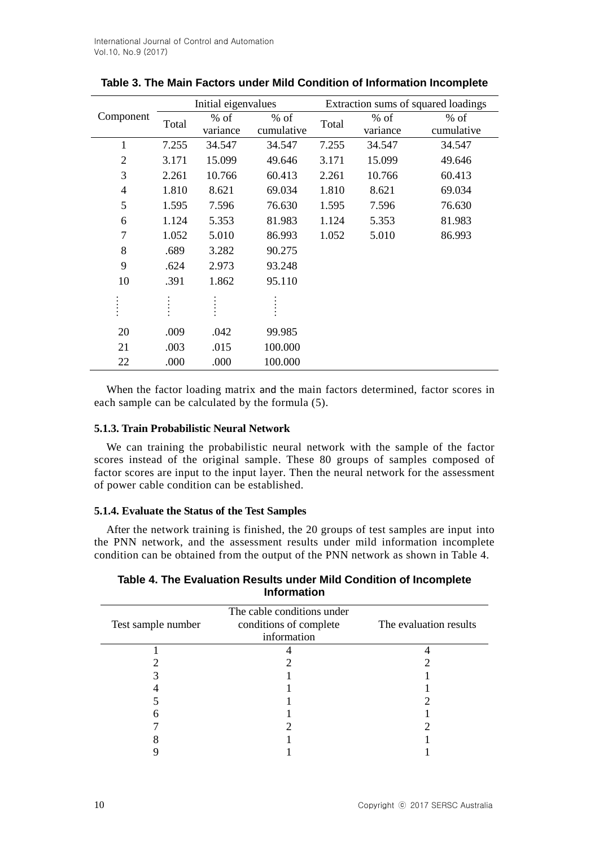|                | Initial eigenvalues |                    |                      |       | Extraction sums of squared loadings |                      |
|----------------|---------------------|--------------------|----------------------|-------|-------------------------------------|----------------------|
| Component      | Total               | $%$ of<br>variance | $%$ of<br>cumulative | Total | $%$ of<br>variance                  | $%$ of<br>cumulative |
| $\mathbf{1}$   | 7.255               | 34.547             | 34.547               | 7.255 | 34.547                              | 34.547               |
| $\overline{2}$ | 3.171               | 15.099             | 49.646               | 3.171 | 15.099                              | 49.646               |
| 3              | 2.261               | 10.766             | 60.413               | 2.261 | 10.766                              | 60.413               |
| $\overline{4}$ | 1.810               | 8.621              | 69.034               | 1.810 | 8.621                               | 69.034               |
| 5              | 1.595               | 7.596              | 76.630               | 1.595 | 7.596                               | 76.630               |
| 6              | 1.124               | 5.353              | 81.983               | 1.124 | 5.353                               | 81.983               |
| 7              | 1.052               | 5.010              | 86.993               | 1.052 | 5.010                               | 86.993               |
| 8              | .689                | 3.282              | 90.275               |       |                                     |                      |
| 9              | .624                | 2.973              | 93.248               |       |                                     |                      |
| 10             | .391                | 1.862              | 95.110               |       |                                     |                      |
|                |                     |                    |                      |       |                                     |                      |
| 20             | .009                | .042               | 99.985               |       |                                     |                      |
| 21             | .003                | .015               | 100.000              |       |                                     |                      |
| 22             | .000                | .000               | 100.000              |       |                                     |                      |

**Table 3. The Main Factors under Mild Condition of Information Incomplete**

When the factor loading matrix and the main factors determined, factor scores in each sample can be calculated by the formula (5).

### **5.1.3. Train Probabilistic Neural Network**

We can training the probabilistic neural network with the sample of the factor scores instead of the original sample. These 80 groups of samples composed of factor scores are input to the input layer. Then the neural network for the assessment of power cable condition can be established.

#### **5.1.4. Evaluate the Status of the Test Samples**

After the network training is finished, the 20 groups of test samples are input into the PNN network, and the assessment results under mild information incomplete condition can be obtained from the output of the PNN network as shown in Table 4.

## **Table 4. The Evaluation Results under Mild Condition of Incomplete Information**

| Test sample number | The cable conditions under<br>conditions of complete<br>information | The evaluation results |
|--------------------|---------------------------------------------------------------------|------------------------|
|                    |                                                                     |                        |
|                    |                                                                     |                        |
|                    |                                                                     |                        |
|                    |                                                                     |                        |
|                    |                                                                     |                        |
|                    |                                                                     |                        |
|                    |                                                                     |                        |
|                    |                                                                     |                        |
|                    |                                                                     |                        |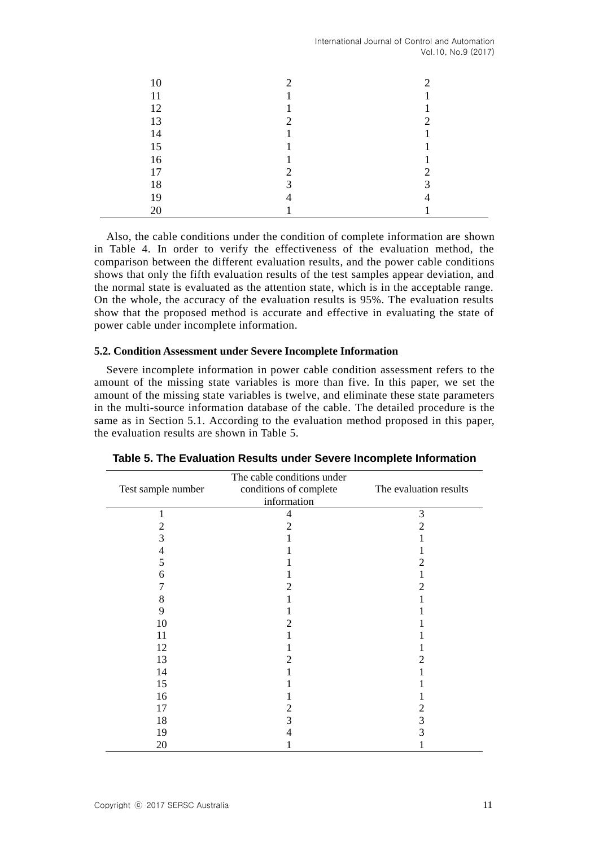International Journal of Control and Automation Vol.10, No.9 (2017)

| 10 | ◠ | ◠ |
|----|---|---|
| 11 |   |   |
| 12 |   |   |
| 13 | ∍ | ◠ |
| 14 |   |   |
| 15 |   |   |
| 16 |   |   |
| 17 | ∍ | ◠ |
| 18 | 3 | っ |
| 19 | ↤ |   |
|    |   |   |

Also, the cable conditions under the condition of complete information are shown in Table 4. In order to verify the effectiveness of the evaluation method, the comparison between the different evaluation results, and the power cable conditions shows that only the fifth evaluation results of the test samples appear deviation, and the normal state is evaluated as the attention state, which is in the acceptable range. On the whole, the accuracy of the evaluation results is 95%. The evaluation results show that the proposed method is accurate and effective in evaluating the state of power cable under incomplete information.

### **5.2. Condition Assessment under Severe Incomplete Information**

Severe incomplete information in power cable condition assessment refers to the amount of the missing state variables is more than five. In this paper, we set the amount of the missing state variables is twelve, and eliminate these state parameters in the multi-source information database of the cable. The detailed procedure is the same as in Section 5.1. According to the evaluation method proposed in this paper, the evaluation results are shown in Table 5.

| The cable conditions under |                        |                        |  |  |  |
|----------------------------|------------------------|------------------------|--|--|--|
| Test sample number         | conditions of complete | The evaluation results |  |  |  |
|                            | information            |                        |  |  |  |
|                            | 4                      | 3                      |  |  |  |
| 2                          | 2                      | 2                      |  |  |  |
| 3                          |                        |                        |  |  |  |
|                            |                        |                        |  |  |  |
| 5                          |                        | 2                      |  |  |  |
| 6                          |                        |                        |  |  |  |
|                            | 2                      | 2                      |  |  |  |
| 8                          |                        |                        |  |  |  |
| 9                          |                        |                        |  |  |  |
| 10                         | 2                      |                        |  |  |  |
| 11                         |                        |                        |  |  |  |
| 12                         |                        |                        |  |  |  |
| 13                         | 2                      | 2                      |  |  |  |
| 14                         |                        |                        |  |  |  |
| 15                         |                        |                        |  |  |  |
| 16                         |                        |                        |  |  |  |
| 17                         | 2                      | 2                      |  |  |  |
| 18                         | 3                      | 3                      |  |  |  |
| 19                         | 4                      | 3                      |  |  |  |
| 20                         |                        |                        |  |  |  |

**Table 5. The Evaluation Results under Severe Incomplete Information**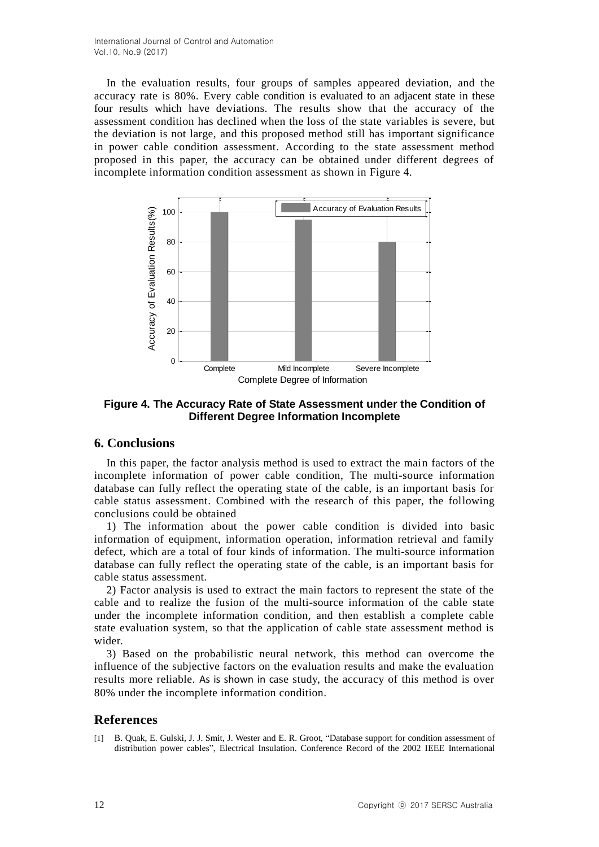In the evaluation results, four groups of samples appeared deviation, and the accuracy rate is 80%. Every cable condition is evaluated to an adjacent state in these four results which have deviations. The results show that the accuracy of the assessment condition has declined when the loss of the state variables is severe, but the deviation is not large, and this proposed method still has important significance in power cable condition assessment. According to the state assessment method proposed in this paper, the accuracy can be obtained under different degrees of incomplete information condition assessment as shown in Figure 4.



**Figure 4. The Accuracy Rate of State Assessment under the Condition of Different Degree Information Incomplete**

## **6. Conclusions**

In this paper, the factor analysis method is used to extract the main factors of the incomplete information of power cable condition, The multi-source information database can fully reflect the operating state of the cable, is an important basis for cable status assessment. Combined with the research of this paper, the following conclusions could be obtained

1) The information about the power cable condition is divided into basic information of equipment, information operation, information retrieval and family defect, which are a total of four kinds of information. The multi-source information database can fully reflect the operating state of the cable, is an important basis for cable status assessment.

2) Factor analysis is used to extract the main factors to represent the state of the cable and to realize the fusion of the multi-source information of the cable state under the incomplete information condition, and then establish a complete cable state evaluation system, so that the application of cable state assessment method is wider.

3) Based on the probabilistic neural network, this method can overcome the influence of the subjective factors on the evaluation results and make the evaluation results more reliable. As is shown in case study, the accuracy of this method is over 80% under the incomplete information condition.

## **References**

[1] B. Quak, E. Gulski, J. J. Smit, J. Wester and E. R. Groot, "Database support for condition assessment of distribution power cables", Electrical Insulation. Conference Record of the 2002 IEEE International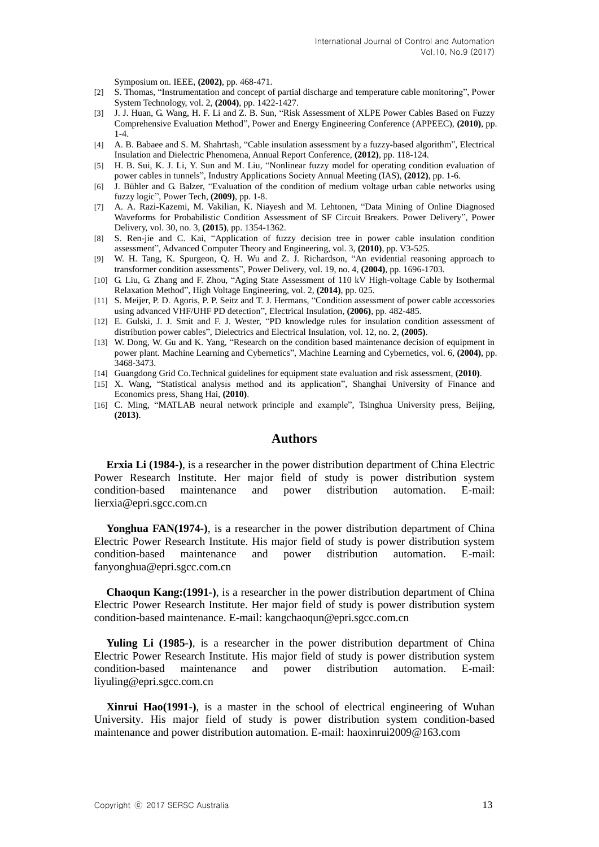Symposium on. IEEE, **(2002)**, pp. 468-471.

- [2] S. Thomas, "Instrumentation and concept of partial discharge and temperature cable monitoring", Power System Technology, vol. 2, **(2004)**, pp. 1422-1427.
- [3] J. J. Huan, G. Wang, H. F. Li and Z. B. Sun, "Risk Assessment of XLPE Power Cables Based on Fuzzy Comprehensive Evaluation Method", Power and Energy Engineering Conference (APPEEC), **(2010)**, pp. 1-4.
- [4] A. B. Babaee and S. M. Shahrtash, "Cable insulation assessment by a fuzzy-based algorithm", Electrical Insulation and Dielectric Phenomena, Annual Report Conference, **(2012)**, pp. 118-124.
- [5] H. B. Sui, K. J. Li, Y. Sun and M. Liu, "Nonlinear fuzzy model for operating condition evaluation of power cables in tunnels", Industry Applications Society Annual Meeting (IAS), **(2012)**, pp. 1-6.
- [6] J. Bühler and G. Balzer, "Evaluation of the condition of medium voltage urban cable networks using fuzzy logic", Power Tech, **(2009)**, pp. 1-8.
- [7] A. A. Razi-Kazemi, M. Vakilian, K. Niayesh and M. Lehtonen, "Data Mining of Online Diagnosed Waveforms for Probabilistic Condition Assessment of SF Circuit Breakers. Power Delivery", Power Delivery, vol. 30, no. 3, **(2015)**, pp. 1354-1362.
- [8] S. Ren-jie and C. Kai, "Application of fuzzy decision tree in power cable insulation condition assessment", Advanced Computer Theory and Engineering, vol. 3, **(2010)**, pp. V3-525.
- [9] W. H. Tang, K. Spurgeon, Q. H. Wu and Z. J. Richardson, "An evidential reasoning approach to transformer condition assessments", Power Delivery, vol. 19, no. 4, **(2004)**, pp. 1696-1703.
- [10] G. Liu, G. Zhang and F. Zhou, "Aging State Assessment of 110 kV High-voltage Cable by Isothermal Relaxation Method", High Voltage Engineering, vol. 2, **(2014)**, pp. 025.
- [11] S. Meijer, P. D. Agoris, P. P. Seitz and T. J. Hermans, "Condition assessment of power cable accessories using advanced VHF/UHF PD detection", Electrical Insulation, **(2006)**, pp. 482-485.
- [12] E. Gulski, J. J. Smit and F. J. Wester, "PD knowledge rules for insulation condition assessment of distribution power cables", Dielectrics and Electrical Insulation, vol. 12, no. 2, **(2005)**.
- [13] W. Dong, W. Gu and K. Yang, "Research on the condition based maintenance decision of equipment in power plant. Machine Learning and Cybernetics", Machine Learning and Cybernetics, vol. 6, **(2004)**, pp. 3468-3473.
- [14] Guangdong Grid Co.Technical guidelines for equipment state evaluation and risk assessment, **(2010)**.
- [15] X. Wang, "Statistical analysis method and its application", Shanghai University of Finance and Economics press, Shang Hai, **(2010)**.
- [16] C. Ming, "MATLAB neural network principle and example", Tsinghua University press, Beijing, **(2013)**.

### **Authors**

**Erxia Li (1984-)**, is a researcher in the power distribution department of China Electric Power Research Institute. Her major field of study is power distribution system condition-based maintenance and power distribution automation. E-mail: lierxia@epri.sgcc.com.cn

**Yonghua FAN(1974-)**, is a researcher in the power distribution department of China Electric Power Research Institute. His major field of study is power distribution system condition-based maintenance and power distribution automation. E-mail: fanyonghua@epri.sgcc.com.cn

**Chaoqun Kang:(1991-)**, is a researcher in the power distribution department of China Electric Power Research Institute. Her major field of study is power distribution system condition-based maintenance. E-mail: [kangchaoqun@epri.sgcc.com.cn](mailto:kangchaoqun@epri.sgcc.com.cn)

**Yuling Li (1985-)**, is a researcher in the power distribution department of China Electric Power Research Institute. His major field of study is power distribution system condition-based maintenance and power distribution automation. E-mail: liyuling@epri.sgcc.com.cn

**Xinrui Hao(1991-)**, is a master in the school of electrical engineering of Wuhan University. His major field of study is power distribution system condition-based maintenance and power distribution automation. E-mail: haoxinrui2009@163.com